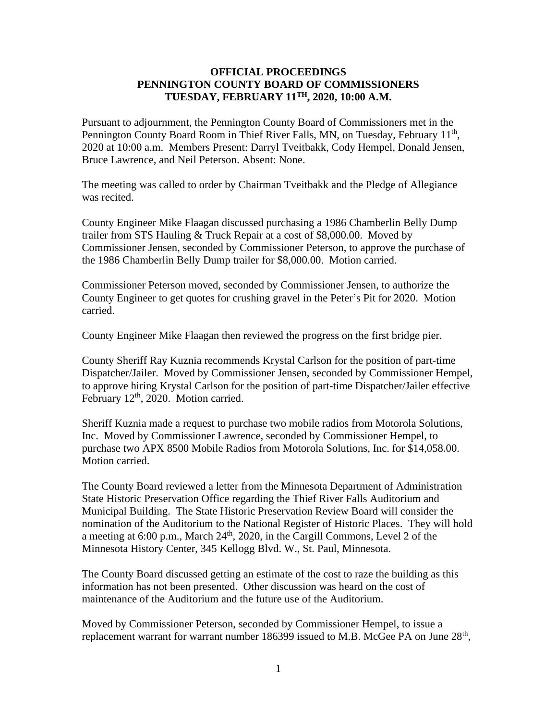## **OFFICIAL PROCEEDINGS PENNINGTON COUNTY BOARD OF COMMISSIONERS TUESDAY, FEBRUARY 11TH, 2020, 10:00 A.M.**

Pursuant to adjournment, the Pennington County Board of Commissioners met in the Pennington County Board Room in Thief River Falls, MN, on Tuesday, February 11<sup>th</sup>, 2020 at 10:00 a.m. Members Present: Darryl Tveitbakk, Cody Hempel, Donald Jensen, Bruce Lawrence, and Neil Peterson. Absent: None.

The meeting was called to order by Chairman Tveitbakk and the Pledge of Allegiance was recited.

County Engineer Mike Flaagan discussed purchasing a 1986 Chamberlin Belly Dump trailer from STS Hauling & Truck Repair at a cost of \$8,000.00. Moved by Commissioner Jensen, seconded by Commissioner Peterson, to approve the purchase of the 1986 Chamberlin Belly Dump trailer for \$8,000.00. Motion carried.

Commissioner Peterson moved, seconded by Commissioner Jensen, to authorize the County Engineer to get quotes for crushing gravel in the Peter's Pit for 2020. Motion carried.

County Engineer Mike Flaagan then reviewed the progress on the first bridge pier.

County Sheriff Ray Kuznia recommends Krystal Carlson for the position of part-time Dispatcher/Jailer. Moved by Commissioner Jensen, seconded by Commissioner Hempel, to approve hiring Krystal Carlson for the position of part-time Dispatcher/Jailer effective February 12<sup>th</sup>, 2020. Motion carried.

Sheriff Kuznia made a request to purchase two mobile radios from Motorola Solutions, Inc. Moved by Commissioner Lawrence, seconded by Commissioner Hempel, to purchase two APX 8500 Mobile Radios from Motorola Solutions, Inc. for \$14,058.00. Motion carried.

The County Board reviewed a letter from the Minnesota Department of Administration State Historic Preservation Office regarding the Thief River Falls Auditorium and Municipal Building. The State Historic Preservation Review Board will consider the nomination of the Auditorium to the National Register of Historic Places. They will hold a meeting at 6:00 p.m., March  $24<sup>th</sup>$ , 2020, in the Cargill Commons, Level 2 of the Minnesota History Center, 345 Kellogg Blvd. W., St. Paul, Minnesota.

The County Board discussed getting an estimate of the cost to raze the building as this information has not been presented. Other discussion was heard on the cost of maintenance of the Auditorium and the future use of the Auditorium.

Moved by Commissioner Peterson, seconded by Commissioner Hempel, to issue a replacement warrant for warrant number 186399 issued to M.B. McGee PA on June  $28<sup>th</sup>$ ,